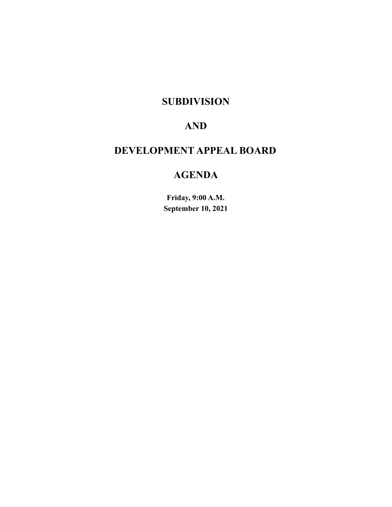# **SUBDIVISION**

# **AND**

# **DEVELOPMENT APPEAL BOARD**

# **AGENDA**

**Friday, 9:00 A.M. September 10, 2021**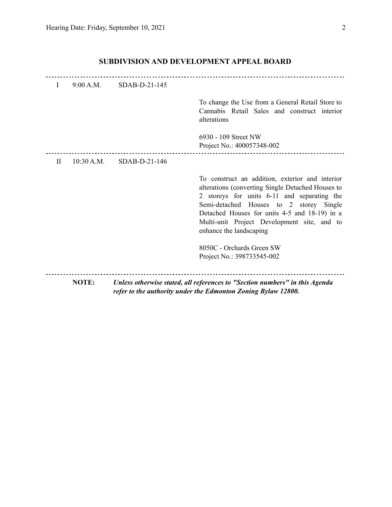| I         | 9:00 A.M.  | SDAB-D-21-145   |                                                                                                                                                                                                                                                                                                                           |
|-----------|------------|-----------------|---------------------------------------------------------------------------------------------------------------------------------------------------------------------------------------------------------------------------------------------------------------------------------------------------------------------------|
|           |            |                 | To change the Use from a General Retail Store to<br>Cannabis Retail Sales and construct interior<br>alterations                                                                                                                                                                                                           |
|           |            |                 | 6930 - 109 Street NW<br>Project No.: 400057348-002                                                                                                                                                                                                                                                                        |
| $\rm{II}$ | 10:30 A.M. | $SDAB-D-21-146$ |                                                                                                                                                                                                                                                                                                                           |
|           |            |                 | To construct an addition, exterior and interior<br>alterations (converting Single Detached Houses to<br>2 storeys for units 6-11 and separating the<br>Semi-detached Houses to 2 storey Single<br>Detached Houses for units 4-5 and 18-19) in a<br>Multi-unit Project Development site, and to<br>enhance the landscaping |
|           |            |                 | 8050C - Orchards Green SW<br>Project No.: 398733545-002                                                                                                                                                                                                                                                                   |
|           | NOTE:      |                 | Unless otherwise stated, all references to "Section numbers" in this Agenda<br>refer to the authority under the Edmonton Zoning Bylaw 12800.                                                                                                                                                                              |

# **SUBDIVISION AND DEVELOPMENT APPEAL BOARD**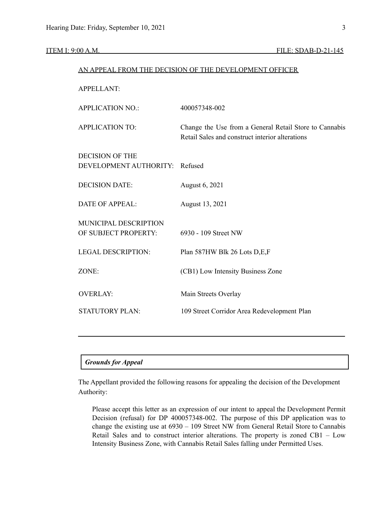|                                                  | AN APPEAL FROM THE DECISION OF THE DEVELOPMENT OFFICER                                                    |
|--------------------------------------------------|-----------------------------------------------------------------------------------------------------------|
| <b>APPELLANT:</b>                                |                                                                                                           |
| <b>APPLICATION NO.:</b>                          | 400057348-002                                                                                             |
| <b>APPLICATION TO:</b>                           | Change the Use from a General Retail Store to Cannabis<br>Retail Sales and construct interior alterations |
| <b>DECISION OF THE</b><br>DEVELOPMENT AUTHORITY: | Refused                                                                                                   |
| <b>DECISION DATE:</b>                            | August 6, 2021                                                                                            |
| <b>DATE OF APPEAL:</b>                           | August 13, 2021                                                                                           |
| MUNICIPAL DESCRIPTION<br>OF SUBJECT PROPERTY:    | 6930 - 109 Street NW                                                                                      |
| <b>LEGAL DESCRIPTION:</b>                        | Plan 587HW Blk 26 Lots D,E,F                                                                              |
| ZONE:                                            | (CB1) Low Intensity Business Zone                                                                         |
| <b>OVERLAY:</b>                                  | Main Streets Overlay                                                                                      |
| <b>STATUTORY PLAN:</b>                           | 109 Street Corridor Area Redevelopment Plan                                                               |
|                                                  |                                                                                                           |

# *Grounds for Appeal*

The Appellant provided the following reasons for appealing the decision of the Development Authority:

Please accept this letter as an expression of our intent to appeal the Development Permit Decision (refusal) for DP 400057348-002. The purpose of this DP application was to change the existing use at 6930 – 109 Street NW from General Retail Store to Cannabis Retail Sales and to construct interior alterations. The property is zoned CB1 – Low Intensity Business Zone, with Cannabis Retail Sales falling under Permitted Uses.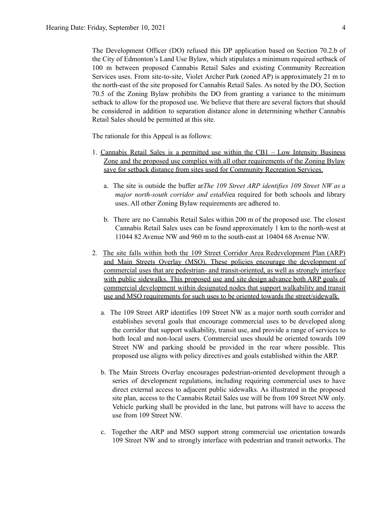The Development Officer (DO) refused this DP application based on Section 70.2.b of the City of Edmonton's Land Use Bylaw, which stipulates a minimum required setback of 100 m between proposed Cannabis Retail Sales and existing Community Recreation Services uses. From site-to-site, Violet Archer Park (zoned AP) is approximately 21 m to the north-east of the site proposed for Cannabis Retail Sales. As noted by the DO, Section 70.5 of the Zoning Bylaw prohibits the DO from granting a variance to the minimum setback to allow for the proposed use. We believe that there are several factors that should be considered in addition to separation distance alone in determining whether Cannabis Retail Sales should be permitted at this site.

The rationale for this Appeal is as follows:

- 1. Cannabis Retail Sales is a permitted use within the CB1 Low Intensity Business Zone and the proposed use complies with all other requirements of the Zoning Bylaw save for setback distance from sites used for Community Recreation Services.
	- a. The site is outside the buffer ar*The 109 Street ARP identifies 109 Street NW as a major north-south corridor and establi*ea required for both schools and library uses. All other Zoning Bylaw requirements are adhered to.
	- b. There are no Cannabis Retail Sales within 200 m of the proposed use. The closest Cannabis Retail Sales uses can be found approximately 1 km to the north-west at 11044 82 Avenue NW and 960 m to the south-east at 10404 68 Avenue NW.
- 2*.* The site falls within both the 109 Street Corridor Area Redevelopment Plan (ARP) and Main Streets Overlay (MSO). These policies encourage the development of commercial uses that are pedestrian- and transit-oriented, as well as strongly interface with public sidewalks. This proposed use and site design advance both ARP goals of commercial development within designated nodes that support walkability and transit use and MSO requirements for such uses to be oriented towards the street/sidewalk.
	- a*.* The 109 Street ARP identifies 109 Street NW as a major north south corridor and establishes several goals that encourage commercial uses to be developed along the corridor that support walkability, transit use, and provide a range of services to both local and non-local users. Commercial uses should be oriented towards 109 Street NW and parking should be provided in the rear where possible. This proposed use aligns with policy directives and goals established within the ARP.
	- b. The Main Streets Overlay encourages pedestrian-oriented development through a series of development regulations, including requiring commercial uses to have direct external access to adjacent public sidewalks. As illustrated in the proposed site plan, access to the Cannabis Retail Sales use will be from 109 Street NW only. Vehicle parking shall be provided in the lane, but patrons will have to access the use from 109 Street NW.
	- c. Together the ARP and MSO support strong commercial use orientation towards 109 Street NW and to strongly interface with pedestrian and transit networks. The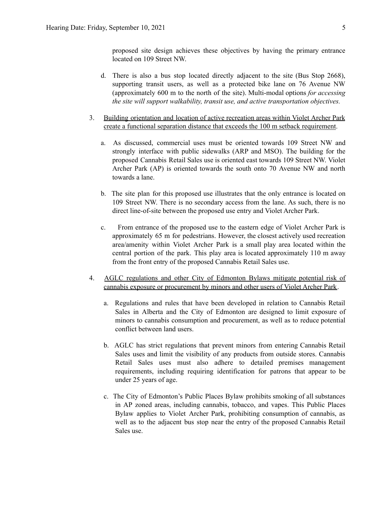proposed site design achieves these objectives by having the primary entrance located on 109 Street NW.

- d. There is also a bus stop located directly adjacent to the site (Bus Stop 2668), supporting transit users, as well as a protected bike lane on 76 Avenue NW (approximately 600 m to the north of the site). Multi-modal options *for accessing the site will support walkability, transit use, and active transportation objectives.*
- 3. Building orientation and location of active recreation areas within Violet Archer Park create a functional separation distance that exceeds the 100 m setback requirement.
	- a. As discussed, commercial uses must be oriented towards 109 Street NW and strongly interface with public sidewalks (ARP and MSO). The building for the proposed Cannabis Retail Sales use is oriented east towards 109 Street NW. Violet Archer Park (AP) is oriented towards the south onto 70 Avenue NW and north towards a lane.
	- b. The site plan for this proposed use illustrates that the only entrance is located on 109 Street NW. There is no secondary access from the lane. As such, there is no direct line-of-site between the proposed use entry and Violet Archer Park.
	- c. From entrance of the proposed use to the eastern edge of Violet Archer Park is approximately 65 m for pedestrians. However, the closest actively used recreation area/amenity within Violet Archer Park is a small play area located within the central portion of the park. This play area is located approximately 110 m away from the front entry of the proposed Cannabis Retail Sales use.
- 4. AGLC regulations and other City of Edmonton Bylaws mitigate potential risk of cannabis exposure or procurement by minors and other users of Violet Archer Park.
	- a. Regulations and rules that have been developed in relation to Cannabis Retail Sales in Alberta and the City of Edmonton are designed to limit exposure of minors to cannabis consumption and procurement, as well as to reduce potential conflict between land users.
	- b. AGLC has strict regulations that prevent minors from entering Cannabis Retail Sales uses and limit the visibility of any products from outside stores. Cannabis Retail Sales uses must also adhere to detailed premises management requirements, including requiring identification for patrons that appear to be under 25 years of age.
	- c. The City of Edmonton's Public Places Bylaw prohibits smoking of all substances in AP zoned areas, including cannabis, tobacco, and vapes. This Public Places Bylaw applies to Violet Archer Park, prohibiting consumption of cannabis, as well as to the adjacent bus stop near the entry of the proposed Cannabis Retail Sales use.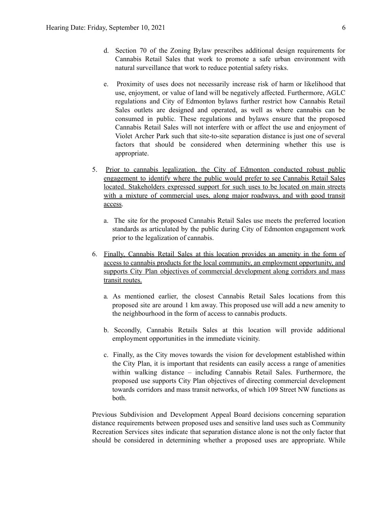- d. Section 70 of the Zoning Bylaw prescribes additional design requirements for Cannabis Retail Sales that work to promote a safe urban environment with natural surveillance that work to reduce potential safety risks.
- e. Proximity of uses does not necessarily increase risk of harm or likelihood that use, enjoyment, or value of land will be negatively affected. Furthermore, AGLC regulations and City of Edmonton bylaws further restrict how Cannabis Retail Sales outlets are designed and operated, as well as where cannabis can be consumed in public. These regulations and bylaws ensure that the proposed Cannabis Retail Sales will not interfere with or affect the use and enjoyment of Violet Archer Park such that site-to-site separation distance is just one of several factors that should be considered when determining whether this use is appropriate.
- 5. Prior to cannabis legalization, the City of Edmonton conducted robust public engagement to identify where the public would prefer to see Cannabis Retail Sales located. Stakeholders expressed support for such uses to be located on main streets with a mixture of commercial uses, along major roadways, and with good transit access.
	- a. The site for the proposed Cannabis Retail Sales use meets the preferred location standards as articulated by the public during City of Edmonton engagement work prior to the legalization of cannabis.
- 6. Finally, Cannabis Retail Sales at this location provides an amenity in the form of access to cannabis products for the local community, an employment opportunity, and supports City Plan objectives of commercial development along corridors and mass transit routes.
	- a*.* As mentioned earlier, the closest Cannabis Retail Sales locations from this proposed site are around 1 km away. This proposed use will add a new amenity to the neighbourhood in the form of access to cannabis products.
	- b. Secondly, Cannabis Retails Sales at this location will provide additional employment opportunities in the immediate vicinity.
	- c. Finally, as the City moves towards the vision for development established within the City Plan, it is important that residents can easily access a range of amenities within walking distance – including Cannabis Retail Sales. Furthermore, the proposed use supports City Plan objectives of directing commercial development towards corridors and mass transit networks, of which 109 Street NW functions as both.

Previous Subdivision and Development Appeal Board decisions concerning separation distance requirements between proposed uses and sensitive land uses such as Community Recreation Services sites indicate that separation distance alone is not the only factor that should be considered in determining whether a proposed uses are appropriate. While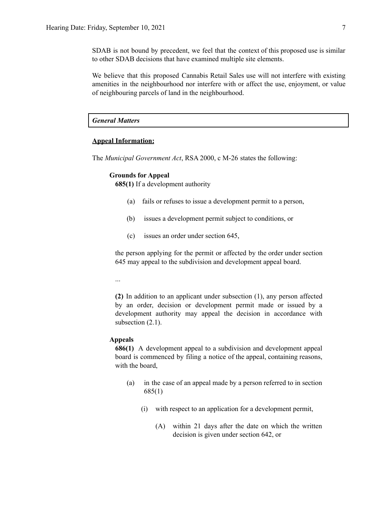SDAB is not bound by precedent, we feel that the context of this proposed use is similar to other SDAB decisions that have examined multiple site elements.

We believe that this proposed Cannabis Retail Sales use will not interfere with existing amenities in the neighbourhood nor interfere with or affect the use, enjoyment, or value of neighbouring parcels of land in the neighbourhood.

*General Matters*

# **Appeal Information:**

The *Municipal Government Act*, RSA 2000, c M-26 states the following:

# **Grounds for Appeal**

**685(1)** If a development authority

- (a) fails or refuses to issue a development permit to a person,
- (b) issues a development permit subject to conditions, or
- (c) issues an order under section 645,

the person applying for the permit or affected by the order under section 645 may appeal to the subdivision and development appeal board.

...

**(2)** In addition to an applicant under subsection (1), any person affected by an order, decision or development permit made or issued by a development authority may appeal the decision in accordance with subsection  $(2.1)$ .

#### **Appeals**

**686(1)** A development appeal to a subdivision and development appeal board is commenced by filing a notice of the appeal, containing reasons, with the board,

- (a) in the case of an appeal made by a person referred to in section 685(1)
	- (i) with respect to an application for a development permit,
		- (A) within 21 days after the date on which the written decision is given under section 642, or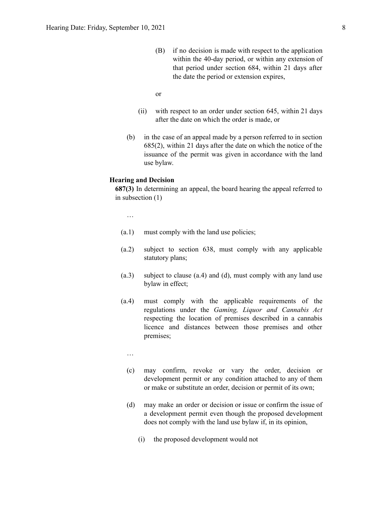- (B) if no decision is made with respect to the application within the 40-day period, or within any extension of that period under section 684, within 21 days after the date the period or extension expires,
- or
- (ii) with respect to an order under section 645, within 21 days after the date on which the order is made, or
- (b) in the case of an appeal made by a person referred to in section 685(2), within 21 days after the date on which the notice of the issuance of the permit was given in accordance with the land use bylaw.

#### **Hearing and Decision**

**687(3)** In determining an appeal, the board hearing the appeal referred to in subsection (1)

…

- (a.1) must comply with the land use policies;
- (a.2) subject to section 638, must comply with any applicable statutory plans;
- (a.3) subject to clause (a.4) and (d), must comply with any land use bylaw in effect;
- (a.4) must comply with the applicable requirements of the regulations under the *Gaming, Liquor and Cannabis Act* respecting the location of premises described in a cannabis licence and distances between those premises and other premises;
	- …
	- (c) may confirm, revoke or vary the order, decision or development permit or any condition attached to any of them or make or substitute an order, decision or permit of its own;
	- (d) may make an order or decision or issue or confirm the issue of a development permit even though the proposed development does not comply with the land use bylaw if, in its opinion,
		- (i) the proposed development would not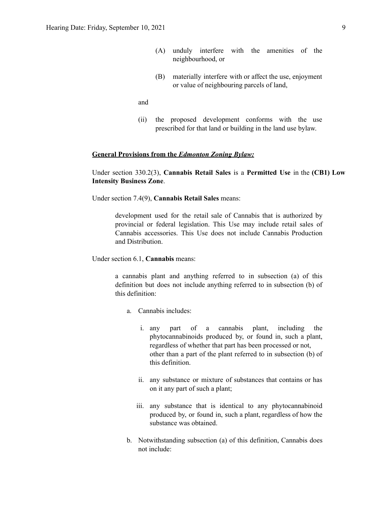- (A) unduly interfere with the amenities of the neighbourhood, or
- (B) materially interfere with or affect the use, enjoyment or value of neighbouring parcels of land,

and

(ii) the proposed development conforms with the use prescribed for that land or building in the land use bylaw.

#### **General Provisions from the** *Edmonton Zoning Bylaw:*

Under section 330.2(3), **Cannabis Retail Sales** is a **Permitted Use** in the **(CB1) Low Intensity Business Zone**.

Under section 7.4(9), **Cannabis Retail Sales** means:

development used for the retail sale of Cannabis that is authorized by provincial or federal legislation. This Use may include retail sales of Cannabis accessories. This Use does not include Cannabis Production and Distribution.

Under section 6.1, **Cannabis** means:

a cannabis plant and anything referred to in subsection (a) of this definition but does not include anything referred to in subsection (b) of this definition:

- a. Cannabis includes:
	- i. any part of a cannabis plant, including the phytocannabinoids produced by, or found in, such a plant, regardless of whether that part has been processed or not, other than a part of the plant referred to in subsection (b) of this definition.
	- ii. any substance or mixture of substances that contains or has on it any part of such a plant;
	- iii. any substance that is identical to any phytocannabinoid produced by, or found in, such a plant, regardless of how the substance was obtained.
- b. Notwithstanding subsection (a) of this definition, Cannabis does not include: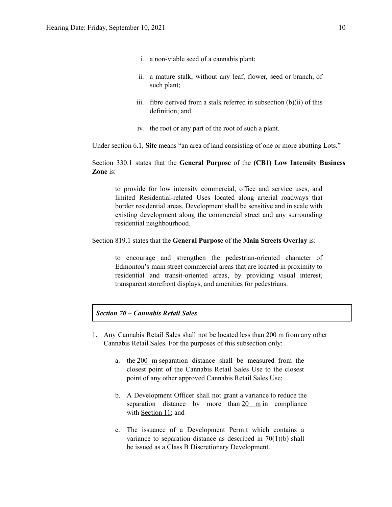- i. a non-viable seed of a cannabis plant;
- ii. a mature stalk, without any leaf, flower, seed or branch, of such plant;
- iii. fibre derived from a stalk referred in subsection (b)(ii) of this definition; and
- iv. the root or any part of the root of such a plant.

Under section 6.1, **Site** means "an area of land consisting of one or more abutting Lots."

Section 330.1 states that the **General Purpose** of the **(CB1) Low Intensity Business Zone** is:

to provide for low intensity commercial, office and service uses, and limited Residential-related Uses located along arterial roadways that border residential areas. Development shall be sensitive and in scale with existing development along the commercial street and any surrounding residential neighbourhood.

# Section 819.1 states that the **General Purpose** of the **Main Streets Overlay** is:

to encourage and strengthen the pedestrian-oriented character of Edmonton's main street commercial areas that are located in proximity to residential and transit-oriented areas, by providing visual interest, transparent storefront displays, and amenities for pedestrians.

# *Section 70 – Cannabis Retail Sales*

- 1. Any Cannabis Retail Sales shall not be located less than 200 m from any other Cannabis Retail Sales. For the purposes of this subsection only:
	- a. the 200 m separation distance shall be measured from the closest point of the Cannabis Retail Sales Use to the closest point of any other approved Cannabis Retail Sales Use;
	- b. A Development Officer shall not grant a variance to reduce the separation distance by more than 20 m in compliance with [Section](https://webdocs.edmonton.ca/InfraPlan/zoningbylaw/ZoningBylaw/Part1/Administrative/11__Authority_and_Responsibility_of_the_Development_Officer.htm) 11; and
	- c. The issuance of a Development Permit which contains a variance to separation distance as described in 70(1)(b) shall be issued as a Class B Discretionary Development.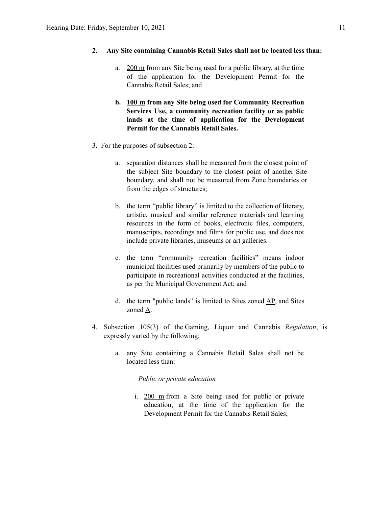- **2. Any Site containing Cannabis Retail Sales shall not be located less than:**
	- a. 200 m from any Site being used for a public library, at the time of the application for the Development Permit for the Cannabis Retail Sales; and
	- **b. 100 m from any Site being used for Community Recreation Services Use, a community recreation facility or as public lands at the time of application for the Development Permit for the Cannabis Retail Sales.**
- 3. For the purposes of subsection 2:
	- a. separation distances shall be measured from the closest point of the subject Site boundary to the closest point of another Site boundary, and shall not be measured from Zone boundaries or from the edges of structures;
	- b. the term "public library" is limited to the collection of literary, artistic, musical and similar reference materials and learning resources in the form of books, electronic files, computers, manuscripts, recordings and films for public use, and does not include private libraries, museums or art galleries.
	- c. the term "community recreation facilities" means indoor municipal facilities used primarily by members of the public to participate in recreational activities conducted at the facilities, as per the Municipal Government Act; and
	- d. the term "public lands" is limited to Sites zoned [AP,](https://webdocs.edmonton.ca/InfraPlan/zoningbylaw/ZoningBylaw/Part2/Urban/530_(AP)_Public_Parks_Zone.htm) and Sites zoned [A.](https://webdocs.edmonton.ca/InfraPlan/zoningbylaw/ZoningBylaw/Part2/Urban/540_(A)_Metropolitan_Recreation_Zone.htm)
- 4. Subsection 105(3) of the Gaming, Liquor and Cannabis *Regulation*, is expressly varied by the following:
	- a. any Site containing a Cannabis Retail Sales shall not be located less than:

*Public or private education*

i. 200 m from a Site being used for public or private education, at the time of the application for the Development Permit for the Cannabis Retail Sales;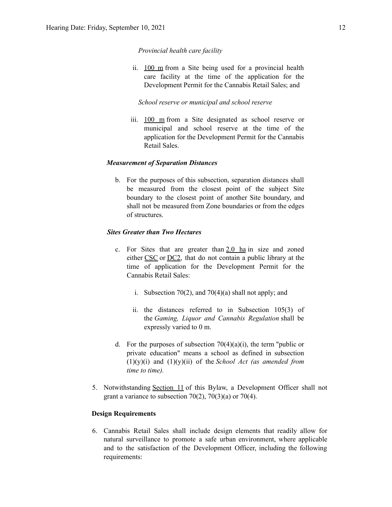#### *Provincial health care facility*

ii. 100 m from a Site being used for a provincial health care facility at the time of the application for the Development Permit for the Cannabis Retail Sales; and

# *School reserve or municipal and school reserve*

iii. 100 m from a Site designated as school reserve or municipal and school reserve at the time of the application for the Development Permit for the Cannabis Retail Sales.

# *Measurement of Separation Distances*

b. For the purposes of this subsection, separation distances shall be measured from the closest point of the subject Site boundary to the closest point of another Site boundary, and shall not be measured from Zone boundaries or from the edges of structures.

# *Sites Greater than Two Hectares*

- c. For Sites that are greater than  $2.0$  ha in size and zoned either [CSC](https://webdocs.edmonton.ca/InfraPlan/zoningbylaw/ZoningBylaw/Part2/Commercial/320_(CSC)_Shopping_Centre_Zone.htm) or [DC2,](https://webdocs.edmonton.ca/InfraPlan/zoningbylaw/ZoningBylaw/Part2/Direct/720_(DC2)_Site_Specific_Development_Control_Provision.htm) that do not contain a public library at the time of application for the Development Permit for the Cannabis Retail Sales:
	- i. Subsection 70(2), and 70(4)(a) shall not apply; and
	- ii. the distances referred to in Subsection 105(3) of the *Gaming, Liquor and Cannabis Regulation* shall be expressly varied to 0 m.
- d. For the purposes of subsection  $70(4)(a)(i)$ , the term "public or private education" means a school as defined in subsection (1)(y)(i) and (1)(y)(ii) of the *School Act (as amended from time to time).*
- 5. Notwithstanding [Section](https://webdocs.edmonton.ca/InfraPlan/zoningbylaw/ZoningBylaw/Part1/Administrative/11__Authority_and_Responsibility_of_the_Development_Officer.htm) 11 of this Bylaw, a Development Officer shall not grant a variance to subsection  $70(2)$ ,  $70(3)(a)$  or  $70(4)$ .

## **Design Requirements**

6. Cannabis Retail Sales shall include design elements that readily allow for natural surveillance to promote a safe urban environment, where applicable and to the satisfaction of the Development Officer, including the following requirements: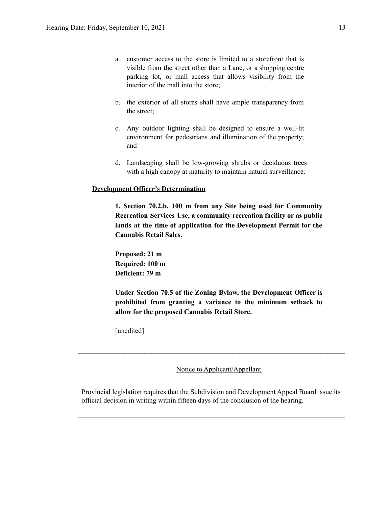- a. customer access to the store is limited to a storefront that is visible from the street other than a Lane, or a shopping centre parking lot, or mall access that allows visibility from the interior of the mall into the store;
- b. the exterior of all stores shall have ample transparency from the street;
- c. Any outdoor lighting shall be designed to ensure a well-lit environment for pedestrians and illumination of the property; and
- d. Landscaping shall be low-growing shrubs or deciduous trees with a high canopy at maturity to maintain natural surveillance.

## **Development Officer's Determination**

**1. Section 70.2.b. 100 m from any Site being used for Community Recreation Services Use, a community recreation facility or as public lands at the time of application for the Development Permit for the Cannabis Retail Sales.**

**Proposed: 21 m Required: 100 m Deficient: 79 m**

**Under Section 70.5 of the Zoning Bylaw, the Development Officer is prohibited from granting a variance to the minimum setback to allow for the proposed Cannabis Retail Store.**

[unedited]

Notice to Applicant/Appellant

Provincial legislation requires that the Subdivision and Development Appeal Board issue its official decision in writing within fifteen days of the conclusion of the hearing.

 $\mathcal{L}_\mathcal{L} = \{ \mathcal{L}_\mathcal{L} = \{ \mathcal{L}_\mathcal{L} = \{ \mathcal{L}_\mathcal{L} = \{ \mathcal{L}_\mathcal{L} = \{ \mathcal{L}_\mathcal{L} = \{ \mathcal{L}_\mathcal{L} = \{ \mathcal{L}_\mathcal{L} = \{ \mathcal{L}_\mathcal{L} = \{ \mathcal{L}_\mathcal{L} = \{ \mathcal{L}_\mathcal{L} = \{ \mathcal{L}_\mathcal{L} = \{ \mathcal{L}_\mathcal{L} = \{ \mathcal{L}_\mathcal{L} = \{ \mathcal{L}_\mathcal{$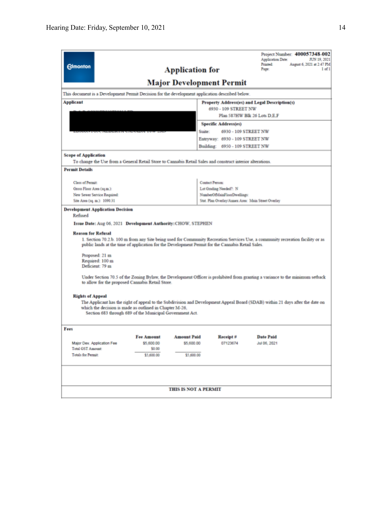| <b>Edmonton</b>                                                                                                                                                                                                                                                                                                                                                                                                                                                                                                                                                                                                                                                                                                                                                                                                                                                                                                         |                                                         | <b>Application for</b>                         |                                                                                   | Application Date:<br><b>Printed:</b><br>Page: | Project Number: 400057348-002<br>JUN 19, 2021<br>August 6, 2021 at 2:47 PM<br>$1$ of $1$ |  |  |
|-------------------------------------------------------------------------------------------------------------------------------------------------------------------------------------------------------------------------------------------------------------------------------------------------------------------------------------------------------------------------------------------------------------------------------------------------------------------------------------------------------------------------------------------------------------------------------------------------------------------------------------------------------------------------------------------------------------------------------------------------------------------------------------------------------------------------------------------------------------------------------------------------------------------------|---------------------------------------------------------|------------------------------------------------|-----------------------------------------------------------------------------------|-----------------------------------------------|------------------------------------------------------------------------------------------|--|--|
| <b>Major Development Permit</b>                                                                                                                                                                                                                                                                                                                                                                                                                                                                                                                                                                                                                                                                                                                                                                                                                                                                                         |                                                         |                                                |                                                                                   |                                               |                                                                                          |  |  |
| This document is a Development Permit Decision for the development application described below.                                                                                                                                                                                                                                                                                                                                                                                                                                                                                                                                                                                                                                                                                                                                                                                                                         |                                                         |                                                |                                                                                   |                                               |                                                                                          |  |  |
| <b>Applicant</b><br>Property Address(es) and Legal Description(s)                                                                                                                                                                                                                                                                                                                                                                                                                                                                                                                                                                                                                                                                                                                                                                                                                                                       |                                                         |                                                |                                                                                   |                                               |                                                                                          |  |  |
| 6930 - 109 STREET NW                                                                                                                                                                                                                                                                                                                                                                                                                                                                                                                                                                                                                                                                                                                                                                                                                                                                                                    |                                                         |                                                |                                                                                   |                                               |                                                                                          |  |  |
| Plan 587HW Blk 26 Lots D.E.F                                                                                                                                                                                                                                                                                                                                                                                                                                                                                                                                                                                                                                                                                                                                                                                                                                                                                            |                                                         |                                                |                                                                                   |                                               |                                                                                          |  |  |
| <b>Specific Address(es)</b>                                                                                                                                                                                                                                                                                                                                                                                                                                                                                                                                                                                                                                                                                                                                                                                                                                                                                             |                                                         |                                                |                                                                                   |                                               |                                                                                          |  |  |
|                                                                                                                                                                                                                                                                                                                                                                                                                                                                                                                                                                                                                                                                                                                                                                                                                                                                                                                         |                                                         | Suite:                                         | 6930 - 109 STREET NW                                                              |                                               |                                                                                          |  |  |
|                                                                                                                                                                                                                                                                                                                                                                                                                                                                                                                                                                                                                                                                                                                                                                                                                                                                                                                         |                                                         |                                                | Entryway: 6930 - 109 STREET NW                                                    |                                               |                                                                                          |  |  |
|                                                                                                                                                                                                                                                                                                                                                                                                                                                                                                                                                                                                                                                                                                                                                                                                                                                                                                                         |                                                         |                                                | Building: 6950 - 109 STREET NW                                                    |                                               |                                                                                          |  |  |
| <b>Scope of Application</b><br>To change the Use from a General Retail Store to Cannabis Retail Sales and construct interior alterations.<br><b>Permit Details</b>                                                                                                                                                                                                                                                                                                                                                                                                                                                                                                                                                                                                                                                                                                                                                      |                                                         |                                                |                                                                                   |                                               |                                                                                          |  |  |
|                                                                                                                                                                                                                                                                                                                                                                                                                                                                                                                                                                                                                                                                                                                                                                                                                                                                                                                         |                                                         |                                                |                                                                                   |                                               |                                                                                          |  |  |
| <b>Class of Permit:</b>                                                                                                                                                                                                                                                                                                                                                                                                                                                                                                                                                                                                                                                                                                                                                                                                                                                                                                 |                                                         |                                                | <b>Contact Person:</b>                                                            |                                               |                                                                                          |  |  |
| Gross Floor Area (sq.m.):                                                                                                                                                                                                                                                                                                                                                                                                                                                                                                                                                                                                                                                                                                                                                                                                                                                                                               |                                                         |                                                | Lot Grading Needed?: N                                                            |                                               |                                                                                          |  |  |
| New Sewer Service Required:<br>Site Area (1q. m.): 1090.31                                                                                                                                                                                                                                                                                                                                                                                                                                                                                                                                                                                                                                                                                                                                                                                                                                                              |                                                         |                                                | NumberOfMainFloorDwellings:<br>Stat. Plan Overlay/Annex Area: Main Street Overlay |                                               |                                                                                          |  |  |
| <b>Development Application Decision</b><br>Refused<br>Issue Date: Aug 06, 2021 Development Authority: CHOW, STEPHEN<br><b>Reason for Refusal</b><br>1. Section 70.2.b. 100 m from any Site being used for Community Recreation Services Use, a community recreation facility or as<br>public lands at the time of application for the Development Permit for the Cannabis Retail Sales.<br>Proposed: 21 m<br>Required: 100 m<br>Deficient: 79 m<br>Under Section 70.5 of the Zoning Bylaw, the Development Officer is prohibited from granting a variance to the minimum setback<br>to allow for the proposed Cannabis Retail Store.<br><b>Rights of Appeal</b><br>The Applicant has the right of appeal to the Subdivision and Development Appeal Board (SDAB) within 21 days after the date on<br>which the decision is made as outlined in Chapter M-26.<br>Section 683 through 689 of the Municipal Government Act. |                                                         |                                                |                                                                                   |                                               |                                                                                          |  |  |
| Fees<br>Major Dev. Application Fee<br><b>Total GST Amount:</b><br>Totals for Permit:                                                                                                                                                                                                                                                                                                                                                                                                                                                                                                                                                                                                                                                                                                                                                                                                                                    | <b>Fee Amount</b><br>\$5,600.00<br>\$0.00<br>\$5,600.00 | <b>Amount Paid</b><br>\$5,600.00<br>\$5,600.00 | Receipt#<br>07123674                                                              | <b>Date Paid</b><br>Jul 06, 2021              |                                                                                          |  |  |
| <b>THIS IS NOT A PERMIT</b>                                                                                                                                                                                                                                                                                                                                                                                                                                                                                                                                                                                                                                                                                                                                                                                                                                                                                             |                                                         |                                                |                                                                                   |                                               |                                                                                          |  |  |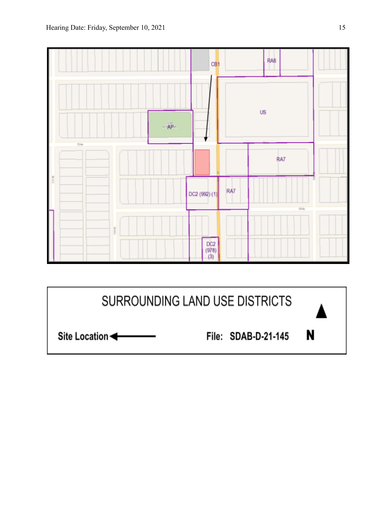

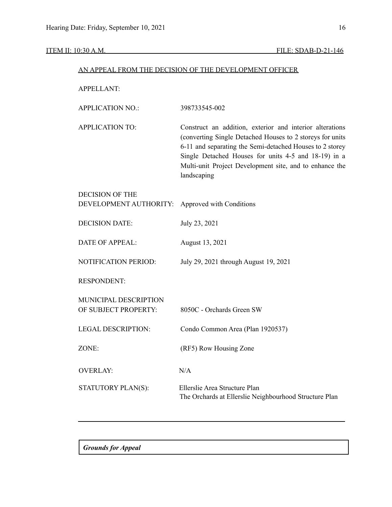### ITEM II: 10:30 A.M. FILE: SDAB-D-21-146

### AN APPEAL FROM THE DECISION OF THE DEVELOPMENT OFFICER

APPELLANT:

| <b>APPLICATION NO.:</b> | 398733545-002                                                                                                                                                                                                                                                                                         |
|-------------------------|-------------------------------------------------------------------------------------------------------------------------------------------------------------------------------------------------------------------------------------------------------------------------------------------------------|
| <b>APPLICATION TO:</b>  | Construct an addition, exterior and interior alterations<br>(converting Single Detached Houses to 2 storeys for units)<br>6-11 and separating the Semi-detached Houses to 2 storey<br>Single Detached Houses for units 4-5 and 18-19) in a<br>Multi-unit Project Development site, and to enhance the |
|                         |                                                                                                                                                                                                                                                                                                       |

landscaping

DECISION OF THE DEVELOPMENT AUTHORITY: Approved with Conditions DECISION DATE: July 23, 2021

DATE OF APPEAL: August 13, 2021

NOTIFICATION PERIOD: July 29, 2021 through August 19, 2021

RESPONDENT:

| MUNICIPAL DESCRIPTION<br>OF SUBJECT PROPERTY: | 8050C - Orchards Green SW                                                               |
|-----------------------------------------------|-----------------------------------------------------------------------------------------|
| LEGAL DESCRIPTION:                            | Condo Common Area (Plan 1920537)                                                        |
| ZONE:                                         | (RF5) Row Housing Zone                                                                  |
| <b>OVERLAY:</b>                               | N/A                                                                                     |
| STATUTORY PLAN(S):                            | Ellerslie Area Structure Plan<br>The Orchards at Ellerslie Neighbourhood Structure Plan |

*Grounds for Appeal*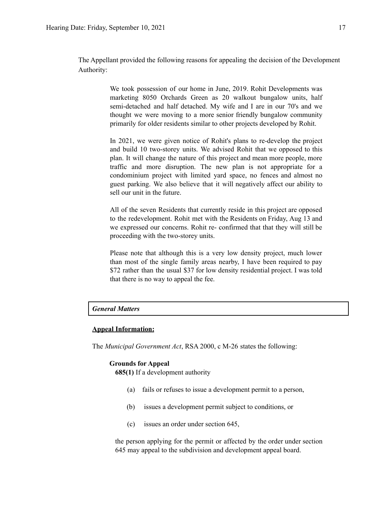The Appellant provided the following reasons for appealing the decision of the Development Authority:

> We took possession of our home in June, 2019. Rohit Developments was marketing 8050 Orchards Green as 20 walkout bungalow units, half semi-detached and half detached. My wife and I are in our 70's and we thought we were moving to a more senior friendly bungalow community primarily for older residents similar to other projects developed by Rohit.

> In 2021, we were given notice of Rohit's plans to re-develop the project and build 10 two-storey units. We advised Rohit that we opposed to this plan. It will change the nature of this project and mean more people, more traffic and more disruption. The new plan is not appropriate for a condominium project with limited yard space, no fences and almost no guest parking. We also believe that it will negatively affect our ability to sell our unit in the future.

> All of the seven Residents that currently reside in this project are opposed to the redevelopment. Rohit met with the Residents on Friday, Aug 13 and we expressed our concerns. Rohit re- confirmed that that they will still be proceeding with the two-storey units.

> Please note that although this is a very low density project, much lower than most of the single family areas nearby, I have been required to pay \$72 rather than the usual \$37 for low density residential project. I was told that there is no way to appeal the fee.

#### *General Matters*

# **Appeal Information:**

The *Municipal Government Act*, RSA 2000, c M-26 states the following:

## **Grounds for Appeal**

**685(1)** If a development authority

- (a) fails or refuses to issue a development permit to a person,
- (b) issues a development permit subject to conditions, or
- (c) issues an order under section 645,

the person applying for the permit or affected by the order under section 645 may appeal to the subdivision and development appeal board.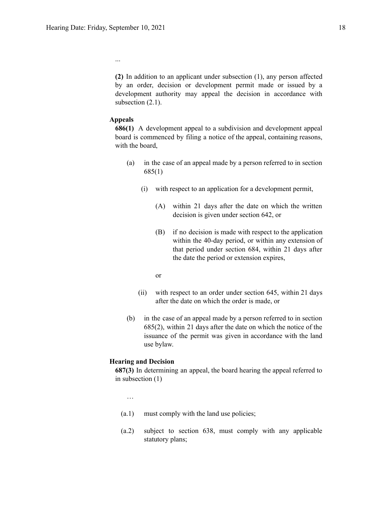...

**(2)** In addition to an applicant under subsection (1), any person affected by an order, decision or development permit made or issued by a development authority may appeal the decision in accordance with subsection  $(2.1)$ .

# **Appeals**

**686(1)** A development appeal to a subdivision and development appeal board is commenced by filing a notice of the appeal, containing reasons, with the board,

- (a) in the case of an appeal made by a person referred to in section 685(1)
	- (i) with respect to an application for a development permit,
		- (A) within 21 days after the date on which the written decision is given under section 642, or
		- (B) if no decision is made with respect to the application within the 40-day period, or within any extension of that period under section 684, within 21 days after the date the period or extension expires,
		- or
	- (ii) with respect to an order under section 645, within 21 days after the date on which the order is made, or
- (b) in the case of an appeal made by a person referred to in section 685(2), within 21 days after the date on which the notice of the issuance of the permit was given in accordance with the land use bylaw.

#### **Hearing and Decision**

**687(3)** In determining an appeal, the board hearing the appeal referred to in subsection (1)

…

- (a.1) must comply with the land use policies;
- (a.2) subject to section 638, must comply with any applicable statutory plans;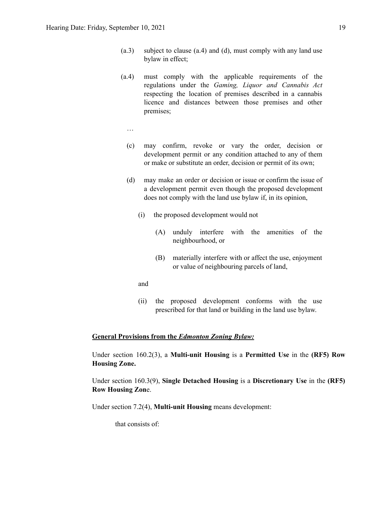- (a.3) subject to clause (a.4) and (d), must comply with any land use bylaw in effect;
- (a.4) must comply with the applicable requirements of the regulations under the *Gaming, Liquor and Cannabis Act* respecting the location of premises described in a cannabis licence and distances between those premises and other premises;
	- …
	- (c) may confirm, revoke or vary the order, decision or development permit or any condition attached to any of them or make or substitute an order, decision or permit of its own;
	- (d) may make an order or decision or issue or confirm the issue of a development permit even though the proposed development does not comply with the land use bylaw if, in its opinion,
		- (i) the proposed development would not
			- (A) unduly interfere with the amenities of the neighbourhood, or
			- (B) materially interfere with or affect the use, enjoyment or value of neighbouring parcels of land,
		- and
		- (ii) the proposed development conforms with the use prescribed for that land or building in the land use bylaw.

# **General Provisions from the** *Edmonton Zoning Bylaw:*

Under section 160.2(3), a **Multi-unit Housing** is a **Permitted Use** in the **(RF5) Row Housing Zone.**

Under section 160.3(9), **Single Detached Housing** is a **Discretionary Use** in the **(RF5) Row Housing Zon**e.

Under section 7.2(4), **Multi-unit Housing** means development:

that consists of: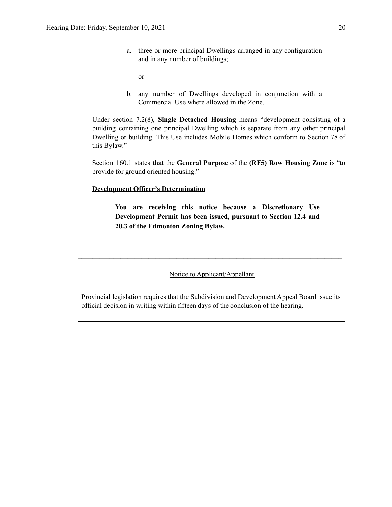a. three or more principal Dwellings arranged in any configuration and in any number of buildings;

or

b. any number of Dwellings developed in conjunction with a Commercial Use where allowed in the Zone.

Under section 7.2(8), **Single Detached Housing** means "development consisting of a building containing one principal Dwelling which is separate from any other principal Dwelling or building. This Use includes Mobile Homes which conform to [Section](https://webdocs.edmonton.ca/zoningbylaw/ZoningBylaw/Part1/Special_Land/78__Mobile_Homes.htm) 78 of this Bylaw."

Section 160.1 states that the **General Purpose** of the **(RF5) Row Housing Zone** is "to provide for ground oriented housing."

# **Development Officer's Determination**

**You are receiving this notice because a Discretionary Use Development Permit has been issued, pursuant to Section 12.4 and 20.3 of the Edmonton Zoning Bylaw.**

Notice to Applicant/Appellant

 $\mathcal{L}_\text{max} = \frac{1}{2} \sum_{i=1}^n \mathcal{L}_\text{max} = \frac{1}{2} \sum_{i=1}^n \mathcal{L}_\text{max} = \frac{1}{2} \sum_{i=1}^n \mathcal{L}_\text{max} = \frac{1}{2} \sum_{i=1}^n \mathcal{L}_\text{max} = \frac{1}{2} \sum_{i=1}^n \mathcal{L}_\text{max} = \frac{1}{2} \sum_{i=1}^n \mathcal{L}_\text{max} = \frac{1}{2} \sum_{i=1}^n \mathcal{L}_\text{max} = \frac{1}{2} \sum_{i=$ 

Provincial legislation requires that the Subdivision and Development Appeal Board issue its official decision in writing within fifteen days of the conclusion of the hearing.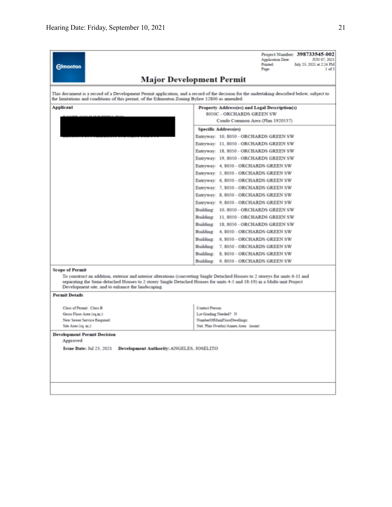| <b>Edmonton</b>                                                                                                                                                                                                                                                                                                                          | Project Number: 398733545-002<br>Application Date:<br>JUN 07, 2021<br>Printed:<br>July 23, 2021 at 2:24 PM<br>1 <sub>of</sub> 3<br>Page: |
|------------------------------------------------------------------------------------------------------------------------------------------------------------------------------------------------------------------------------------------------------------------------------------------------------------------------------------------|------------------------------------------------------------------------------------------------------------------------------------------|
|                                                                                                                                                                                                                                                                                                                                          | <b>Major Development Permit</b>                                                                                                          |
| This document is a record of a Development Permit application, and a record of the decision for the undertaking described below, subject to<br>the limitations and conditions of this permit, of the Edmonton Zoning Bylaw 12800 as amended.                                                                                             |                                                                                                                                          |
| Applicant                                                                                                                                                                                                                                                                                                                                | Property Address(es) and Legal Description(s)<br>8050C - ORCHARDS GREEN SW<br>Condo Common Area (Plan 1920537)                           |
|                                                                                                                                                                                                                                                                                                                                          | <b>Specific Address(es)</b>                                                                                                              |
|                                                                                                                                                                                                                                                                                                                                          | Entryway: 10, 8050 - ORCHARDS GREEN SW                                                                                                   |
|                                                                                                                                                                                                                                                                                                                                          | Entryway: 11, 8050 - ORCHARDS GREEN SW                                                                                                   |
|                                                                                                                                                                                                                                                                                                                                          | Entryway: 18, 8050 - ORCHARDS GREEN SW                                                                                                   |
|                                                                                                                                                                                                                                                                                                                                          | Entryway: 19, 8050 - ORCHARDS GREEN SW                                                                                                   |
|                                                                                                                                                                                                                                                                                                                                          | Entryway: 4, 8050 - ORCHARDS GREEN SW                                                                                                    |
|                                                                                                                                                                                                                                                                                                                                          | Entryway: 5, 8050 - ORCHARDS GREEN SW                                                                                                    |
|                                                                                                                                                                                                                                                                                                                                          | Entryway: 6, 8050 - ORCHARDS GREEN SW                                                                                                    |
|                                                                                                                                                                                                                                                                                                                                          | Entryway: 7, 8050 - ORCHARDS GREEN SW                                                                                                    |
|                                                                                                                                                                                                                                                                                                                                          | Entryway: 8, 8050 - ORCHARDS GREEN SW                                                                                                    |
|                                                                                                                                                                                                                                                                                                                                          | Entryway: 9, 8050 - ORCHARDS GREEN SW                                                                                                    |
|                                                                                                                                                                                                                                                                                                                                          | Building: 10, 8050 - ORCHARDS GREEN SW                                                                                                   |
|                                                                                                                                                                                                                                                                                                                                          | Building: 11, 8050 - ORCHARDS GREEN SW                                                                                                   |
|                                                                                                                                                                                                                                                                                                                                          | Building: 18, 8050 - ORCHARDS GREEN SW                                                                                                   |
|                                                                                                                                                                                                                                                                                                                                          | Building: 4, 8050 - ORCHARDS GREEN SW                                                                                                    |
|                                                                                                                                                                                                                                                                                                                                          | Building: 6, 8050 - ORCHARDS GREEN SW                                                                                                    |
|                                                                                                                                                                                                                                                                                                                                          | Building: 7, 8050 - ORCHARDS GREEN SW                                                                                                    |
|                                                                                                                                                                                                                                                                                                                                          | Building: 8, 8050 - ORCHARDS GREEN SW                                                                                                    |
|                                                                                                                                                                                                                                                                                                                                          | Building: 9, 8050 - ORCHARDS GREEN SW                                                                                                    |
| <b>Scope of Permit</b><br>To construct an addition, exterior and interior alterations (converting Single Detached Houses to 2 storeys for units 6-11 and<br>separating the Semi-detached Houses to 2 storey Single Detached Houses for units 4-5 and 18-19) in a Multi-unit Project<br>Development site, and to enhance the landscaping. |                                                                                                                                          |
| <b>Permit Details</b>                                                                                                                                                                                                                                                                                                                    |                                                                                                                                          |
| Class of Permit: Class B                                                                                                                                                                                                                                                                                                                 | <b>Contact Person:</b>                                                                                                                   |
| Gross Floor Area (sq.m.):                                                                                                                                                                                                                                                                                                                | Lot Grading Needed?: N                                                                                                                   |
| New Sewer Service Required:                                                                                                                                                                                                                                                                                                              | NumberOfMainFloorDwellings:                                                                                                              |
| Site Area (sq. m.):                                                                                                                                                                                                                                                                                                                      | Stat. Plan Overlay/Annex Area: (none)                                                                                                    |
| <b>Development Permit Decision</b><br>Approved                                                                                                                                                                                                                                                                                           |                                                                                                                                          |
| Issue Date: Jul 23, 2021  Development Authority: ANGELES, JOSELITO                                                                                                                                                                                                                                                                       |                                                                                                                                          |
|                                                                                                                                                                                                                                                                                                                                          |                                                                                                                                          |
|                                                                                                                                                                                                                                                                                                                                          |                                                                                                                                          |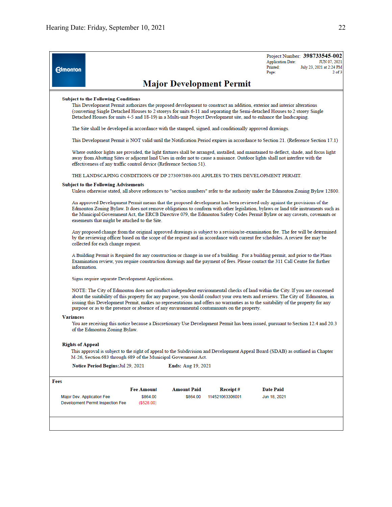| <b>Edmonton</b>                                                                    |                                                                                                                                                                                                                                                                                                                                                                                                                                                                                                  |                                |                                 | Project Number: 398733545-002<br><b>Application Date:</b><br>JUN 07, 2021<br>Printed:<br>July 23, 2021 at 2:24 PM<br>$2$ of $3$<br>Page:                                                                                                                                                                                                                                   |  |  |  |  |
|------------------------------------------------------------------------------------|--------------------------------------------------------------------------------------------------------------------------------------------------------------------------------------------------------------------------------------------------------------------------------------------------------------------------------------------------------------------------------------------------------------------------------------------------------------------------------------------------|--------------------------------|---------------------------------|----------------------------------------------------------------------------------------------------------------------------------------------------------------------------------------------------------------------------------------------------------------------------------------------------------------------------------------------------------------------------|--|--|--|--|
|                                                                                    |                                                                                                                                                                                                                                                                                                                                                                                                                                                                                                  |                                | <b>Major Development Permit</b> |                                                                                                                                                                                                                                                                                                                                                                            |  |  |  |  |
| <b>Subject to the Following Conditions</b>                                         |                                                                                                                                                                                                                                                                                                                                                                                                                                                                                                  |                                |                                 | This Development Permit authorizes the proposed development to construct an addition, exterior and interior alterations<br>(converting Single Detached Houses to 2 storeys for units 6-11 and separating the Semi-detached Houses to 2 storey Single<br>Detached Houses for units 4-5 and 18-19) in a Multi-unit Project Development site, and to enhance the landscaping. |  |  |  |  |
|                                                                                    | The Site shall be developed in accordance with the stamped, signed, and conditionally approved drawings.                                                                                                                                                                                                                                                                                                                                                                                         |                                |                                 |                                                                                                                                                                                                                                                                                                                                                                            |  |  |  |  |
|                                                                                    | This Development Permit is NOT valid until the Notification Period expires in accordance to Section 21. (Reference Section 17.1)                                                                                                                                                                                                                                                                                                                                                                 |                                |                                 |                                                                                                                                                                                                                                                                                                                                                                            |  |  |  |  |
|                                                                                    | Where outdoor lights are provided, the light fixtures shall be arranged, installed, and maintained to deflect, shade, and focus light<br>away from Abutting Sites or adjacent land Uses in order not to cause a nuisance. Outdoor lights shall not interfere with the<br>effectiveness of any traffic control device (Reference Section 51).                                                                                                                                                     |                                |                                 |                                                                                                                                                                                                                                                                                                                                                                            |  |  |  |  |
| THE LANDSCAPING CONDITIONS OF DP 273097389-001 APPLIES TO THIS DEVELOPMENT PERMIT. |                                                                                                                                                                                                                                                                                                                                                                                                                                                                                                  |                                |                                 |                                                                                                                                                                                                                                                                                                                                                                            |  |  |  |  |
| <b>Subject to the Following Advisements</b>                                        |                                                                                                                                                                                                                                                                                                                                                                                                                                                                                                  |                                |                                 |                                                                                                                                                                                                                                                                                                                                                                            |  |  |  |  |
|                                                                                    |                                                                                                                                                                                                                                                                                                                                                                                                                                                                                                  |                                |                                 | Unless otherwise stated, all above references to "section numbers" refer to the authority under the Edmonton Zoning Bylaw 12800.                                                                                                                                                                                                                                           |  |  |  |  |
|                                                                                    | An approved Development Permit means that the proposed development has been reviewed only against the provisions of the<br>Edmonton Zoning Bylaw. It does not remove obligations to conform with other legislation, bylaws or land title instruments such as<br>the Municipal Government Act, the ERCB Directive 079, the Edmonton Safety Codes Permit Bylaw or any caveats, covenants or<br>easements that might be attached to the Site.                                                       |                                |                                 |                                                                                                                                                                                                                                                                                                                                                                            |  |  |  |  |
|                                                                                    | Any proposed change from the original approved drawings is subject to a revision/re-examination fee. The fee will be determined<br>by the reviewing officer based on the scope of the request and in accordance with current fee schedules. A review fee may be<br>collected for each change request.                                                                                                                                                                                            |                                |                                 |                                                                                                                                                                                                                                                                                                                                                                            |  |  |  |  |
| information.                                                                       | A Building Permit is Required for any construction or change in use of a building. For a building permit, and prior to the Plans<br>Examination review, you require construction drawings and the payment of fees. Please contact the 311 Call Centre for further                                                                                                                                                                                                                                |                                |                                 |                                                                                                                                                                                                                                                                                                                                                                            |  |  |  |  |
|                                                                                    | Signs require separate Development Applications.                                                                                                                                                                                                                                                                                                                                                                                                                                                 |                                |                                 |                                                                                                                                                                                                                                                                                                                                                                            |  |  |  |  |
|                                                                                    | NOTE: The City of Edmonton does not conduct independent environmental checks of land within the City. If you are concerned<br>about the suitability of this property for any purpose, you should conduct your own tests and reviews. The City of Edmonton, in<br>issuing this Development Permit, makes no representations and offers no warranties as to the suitability of the property for any<br>purpose or as to the presence or absence of any environmental contaminants on the property. |                                |                                 |                                                                                                                                                                                                                                                                                                                                                                            |  |  |  |  |
| <b>Variances</b><br>of the Edmonton Zoning Bylaw.                                  |                                                                                                                                                                                                                                                                                                                                                                                                                                                                                                  |                                |                                 | You are receiving this notice because a Discretionary Use Development Permit has been issued, pursuant to Section 12.4 and 20.3                                                                                                                                                                                                                                            |  |  |  |  |
| <b>Rights of Appeal</b>                                                            |                                                                                                                                                                                                                                                                                                                                                                                                                                                                                                  |                                |                                 |                                                                                                                                                                                                                                                                                                                                                                            |  |  |  |  |
| M-26, Section 683 through 689 of the Municipal Government Act.                     |                                                                                                                                                                                                                                                                                                                                                                                                                                                                                                  |                                |                                 | This approval is subject to the right of appeal to the Subdivision and Development Appeal Board (SDAB) as outlined in Chapter                                                                                                                                                                                                                                              |  |  |  |  |
| Notice Period Begins: Jul 29, 2021                                                 |                                                                                                                                                                                                                                                                                                                                                                                                                                                                                                  | <b>Ends: Aug 19, 2021</b>      |                                 |                                                                                                                                                                                                                                                                                                                                                                            |  |  |  |  |
| Fees                                                                               |                                                                                                                                                                                                                                                                                                                                                                                                                                                                                                  |                                |                                 |                                                                                                                                                                                                                                                                                                                                                                            |  |  |  |  |
| Major Dev. Application Fee<br>Development Permit Inspection Fee                    | <b>Fee Amount</b><br>\$864.00<br>(\$528.00)                                                                                                                                                                                                                                                                                                                                                                                                                                                      | <b>Amount Paid</b><br>\$864.00 | Receipt#<br>114521063306001     | <b>Date Paid</b><br>Jun 18, 2021                                                                                                                                                                                                                                                                                                                                           |  |  |  |  |
|                                                                                    |                                                                                                                                                                                                                                                                                                                                                                                                                                                                                                  |                                |                                 |                                                                                                                                                                                                                                                                                                                                                                            |  |  |  |  |
|                                                                                    |                                                                                                                                                                                                                                                                                                                                                                                                                                                                                                  |                                |                                 |                                                                                                                                                                                                                                                                                                                                                                            |  |  |  |  |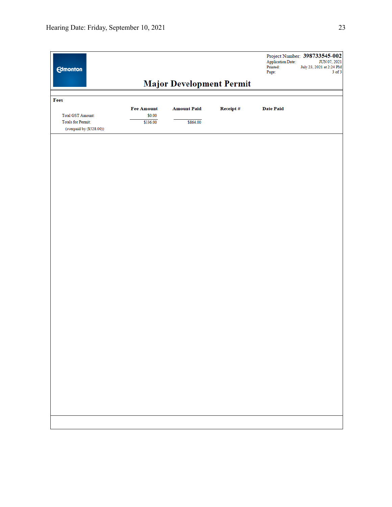| <b>Edmonton</b>                                       |                                 |                    |          | <b>Application Date:</b><br>Pinted:<br>Page: | Project Number: 398733545-002<br>JUN 07, 2021<br>July 23, 2021 at 2:24 PM<br>$3$ of $3$ |
|-------------------------------------------------------|---------------------------------|--------------------|----------|----------------------------------------------|-----------------------------------------------------------------------------------------|
|                                                       | <b>Major Development Permit</b> |                    |          |                                              |                                                                                         |
| Fees                                                  |                                 |                    |          |                                              |                                                                                         |
| <b>Total GST Amount:</b>                              | <b>Fee Amount</b><br>\$0.00     | <b>Amount Paid</b> | Receipt# | <b>Date Paid</b>                             |                                                                                         |
| <b>Totals for Permit:</b><br>(overpaid by (\$528.00)) | \$336.00                        | \$864.00           |          |                                              |                                                                                         |
|                                                       |                                 |                    |          |                                              |                                                                                         |
|                                                       |                                 |                    |          |                                              |                                                                                         |
|                                                       |                                 |                    |          |                                              |                                                                                         |
|                                                       |                                 |                    |          |                                              |                                                                                         |
|                                                       |                                 |                    |          |                                              |                                                                                         |
|                                                       |                                 |                    |          |                                              |                                                                                         |
|                                                       |                                 |                    |          |                                              |                                                                                         |
|                                                       |                                 |                    |          |                                              |                                                                                         |
|                                                       |                                 |                    |          |                                              |                                                                                         |
|                                                       |                                 |                    |          |                                              |                                                                                         |
|                                                       |                                 |                    |          |                                              |                                                                                         |
|                                                       |                                 |                    |          |                                              |                                                                                         |
|                                                       |                                 |                    |          |                                              |                                                                                         |
|                                                       |                                 |                    |          |                                              |                                                                                         |
|                                                       |                                 |                    |          |                                              |                                                                                         |
|                                                       |                                 |                    |          |                                              |                                                                                         |
|                                                       |                                 |                    |          |                                              |                                                                                         |
|                                                       |                                 |                    |          |                                              |                                                                                         |